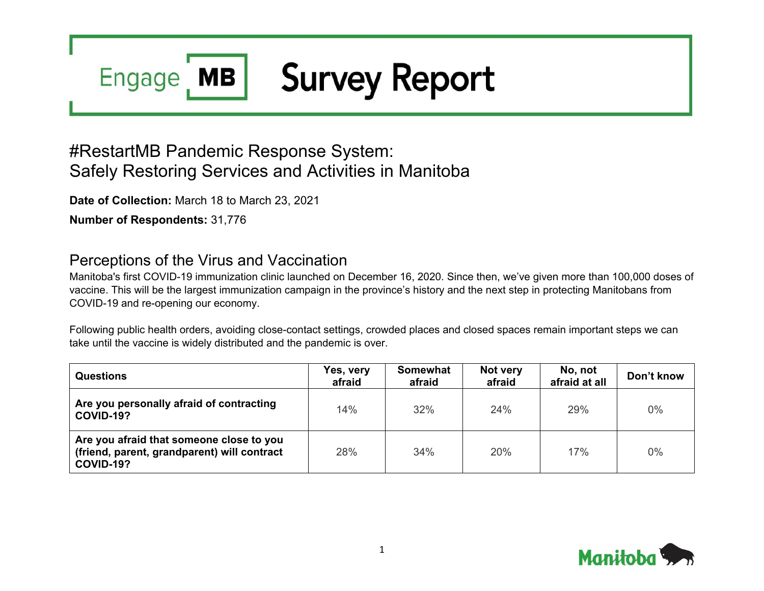### **Survey Report MB Engage**

# #RestartMB Pandemic Response System: Safely Restoring Services and Activities in Manitoba

**Date of Collection:** March 18 to March 23, 2021

**Number of Respondents:** 31,776

## Perceptions of the Virus and Vaccination

Manitoba's first COVID-19 immunization clinic launched on December 16, 2020. Since then, we've given more than 100,000 doses of vaccine. This will be the largest immunization campaign in the province's history and the next step in protecting Manitobans from COVID-19 and re-opening our economy.

Following public health orders, avoiding close-contact settings, crowded places and closed spaces remain important steps we can take until the vaccine is widely distributed and the pandemic is over.

| <b>Questions</b>                                                                                            | Yes, very<br>afraid | <b>Somewhat</b><br>afraid | Not very<br>afraid | No, not<br>afraid at all | Don't know |
|-------------------------------------------------------------------------------------------------------------|---------------------|---------------------------|--------------------|--------------------------|------------|
| Are you personally afraid of contracting<br><b>COVID-19?</b>                                                | 14%                 | 32%                       | 24%                | 29%                      | $0\%$      |
| Are you afraid that someone close to you<br>(friend, parent, grandparent) will contract<br><b>COVID-19?</b> | 28%                 | 34%                       | 20%                | 17%                      | $0\%$      |

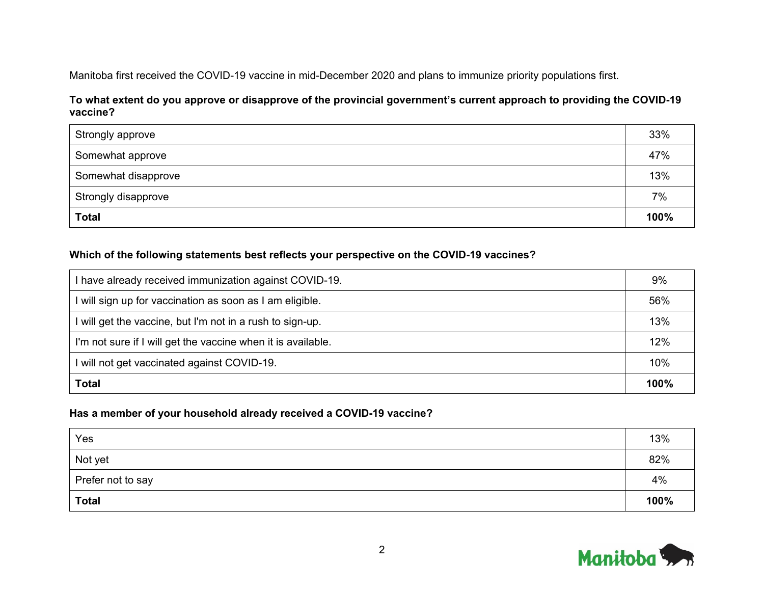Manitoba first received the COVID-19 vaccine in mid-December 2020 and plans to immunize priority populations first.

#### **To what extent do you approve or disapprove of the provincial government's current approach to providing the COVID-19 vaccine?**

| Strongly approve    | 33%  |
|---------------------|------|
| Somewhat approve    | 47%  |
| Somewhat disapprove | 13%  |
| Strongly disapprove | 7%   |
| <b>Total</b>        | 100% |

#### **Which of the following statements best reflects your perspective on the COVID-19 vaccines?**

| I have already received immunization against COVID-19.       | 9%   |
|--------------------------------------------------------------|------|
| I will sign up for vaccination as soon as I am eligible.     | 56%  |
| I will get the vaccine, but I'm not in a rush to sign-up.    | 13%  |
| I'm not sure if I will get the vaccine when it is available. | 12%  |
| I will not get vaccinated against COVID-19.                  | 10%  |
| <b>Total</b>                                                 | 100% |

#### **Has a member of your household already received a COVID-19 vaccine?**

| Yes               | 13%  |
|-------------------|------|
| Not yet           | 82%  |
| Prefer not to say | 4%   |
| <b>Total</b>      | 100% |

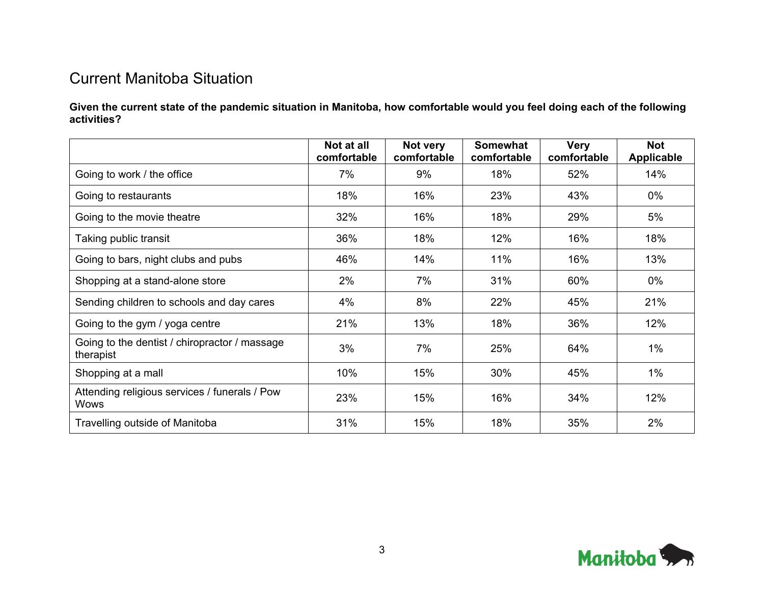## Current Manitoba Situation

**Given the current state of the pandemic situation in Manitoba, how comfortable would you feel doing each of the following activities?**

|                                                              | Not at all<br>comfortable | Not very<br>comfortable | <b>Somewhat</b><br>comfortable | <b>Very</b><br>comfortable | <b>Not</b><br><b>Applicable</b> |
|--------------------------------------------------------------|---------------------------|-------------------------|--------------------------------|----------------------------|---------------------------------|
| Going to work / the office                                   | 7%                        | 9%                      | 18%                            | 52%                        | 14%                             |
| Going to restaurants                                         | 18%                       | 16%                     | 23%                            | 43%                        | $0\%$                           |
| Going to the movie theatre                                   | 32%                       | 16%                     | 18%                            | 29%                        | 5%                              |
| Taking public transit                                        | 36%                       | 18%                     | 12%                            | 16%                        | 18%                             |
| Going to bars, night clubs and pubs                          | 46%                       | 14%                     | 11%                            | 16%                        | 13%                             |
| Shopping at a stand-alone store                              | 2%                        | 7%                      | 31%                            | 60%                        | 0%                              |
| Sending children to schools and day cares                    | 4%                        | 8%                      | 22%                            | 45%                        | 21%                             |
| Going to the gym / yoga centre                               | 21%                       | 13%                     | 18%                            | 36%                        | 12%                             |
| Going to the dentist / chiropractor / massage<br>therapist   | 3%                        | 7%                      | 25%                            | 64%                        | $1\%$                           |
| Shopping at a mall                                           | 10%                       | 15%                     | 30%                            | 45%                        | $1\%$                           |
| Attending religious services / funerals / Pow<br><b>Wows</b> | 23%                       | 15%                     | 16%                            | 34%                        | 12%                             |
| Travelling outside of Manitoba                               | 31%                       | 15%                     | 18%                            | 35%                        | 2%                              |

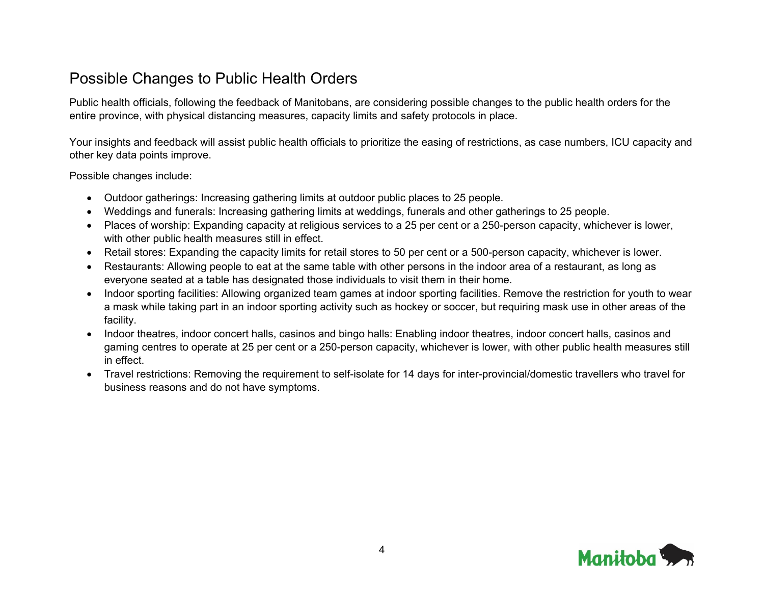## Possible Changes to Public Health Orders

Public health officials, following the feedback of Manitobans, are considering possible changes to the public health orders for the entire province, with physical distancing measures, capacity limits and safety protocols in place.

Your insights and feedback will assist public health officials to prioritize the easing of restrictions, as case numbers, ICU capacity and other key data points improve.

Possible changes include:

- Outdoor gatherings: Increasing gathering limits at outdoor public places to 25 people.
- Weddings and funerals: Increasing gathering limits at weddings, funerals and other gatherings to 25 people.
- Places of worship: Expanding capacity at religious services to a 25 per cent or a 250-person capacity, whichever is lower, with other public health measures still in effect.
- Retail stores: Expanding the capacity limits for retail stores to 50 per cent or a 500-person capacity, whichever is lower.
- Restaurants: Allowing people to eat at the same table with other persons in the indoor area of a restaurant, as long as everyone seated at a table has designated those individuals to visit them in their home.
- Indoor sporting facilities: Allowing organized team games at indoor sporting facilities. Remove the restriction for youth to wear a mask while taking part in an indoor sporting activity such as hockey or soccer, but requiring mask use in other areas of the facility.
- Indoor theatres, indoor concert halls, casinos and bingo halls: Enabling indoor theatres, indoor concert halls, casinos and gaming centres to operate at 25 per cent or a 250-person capacity, whichever is lower, with other public health measures still in effect.
- Travel restrictions: Removing the requirement to self-isolate for 14 days for inter-provincial/domestic travellers who travel for business reasons and do not have symptoms.

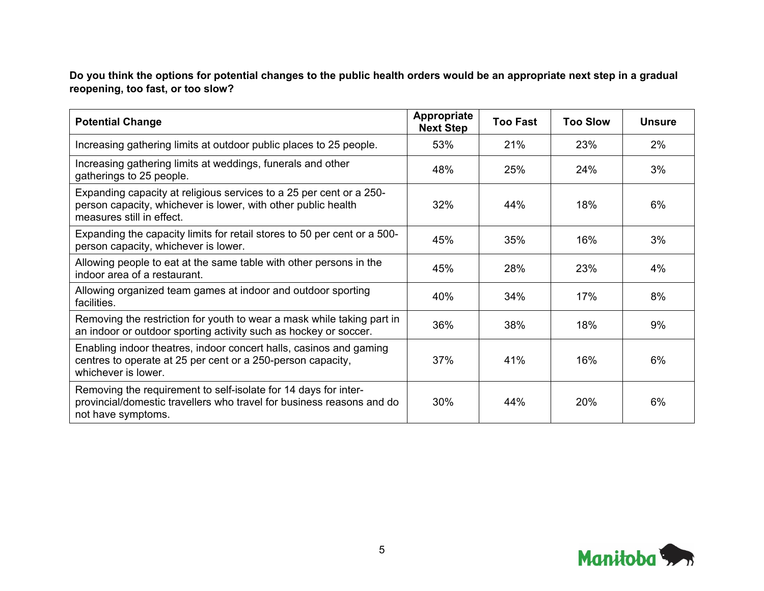**Do you think the options for potential changes to the public health orders would be an appropriate next step in a gradual reopening, too fast, or too slow?**

| <b>Potential Change</b>                                                                                                                                           | <b>Appropriate</b><br><b>Next Step</b> | <b>Too Fast</b> | <b>Too Slow</b> | <b>Unsure</b> |
|-------------------------------------------------------------------------------------------------------------------------------------------------------------------|----------------------------------------|-----------------|-----------------|---------------|
| Increasing gathering limits at outdoor public places to 25 people.                                                                                                | 53%                                    | 21%             | 23%             | 2%            |
| Increasing gathering limits at weddings, funerals and other<br>gatherings to 25 people.                                                                           | 48%                                    | 25%             | 24%             | 3%            |
| Expanding capacity at religious services to a 25 per cent or a 250-<br>person capacity, whichever is lower, with other public health<br>measures still in effect. | 32%                                    | 44%             | 18%             | 6%            |
| Expanding the capacity limits for retail stores to 50 per cent or a 500-<br>person capacity, whichever is lower.                                                  | 45%                                    | 35%             | 16%             | 3%            |
| Allowing people to eat at the same table with other persons in the<br>indoor area of a restaurant.                                                                | 45%                                    | 28%             | 23%             | 4%            |
| Allowing organized team games at indoor and outdoor sporting<br>facilities.                                                                                       | 40%                                    | 34%             | 17%             | 8%            |
| Removing the restriction for youth to wear a mask while taking part in<br>an indoor or outdoor sporting activity such as hockey or soccer.                        | 36%                                    | 38%             | 18%             | 9%            |
| Enabling indoor theatres, indoor concert halls, casinos and gaming<br>centres to operate at 25 per cent or a 250-person capacity,<br>whichever is lower.          | 37%                                    | 41%             | 16%             | 6%            |
| Removing the requirement to self-isolate for 14 days for inter-<br>provincial/domestic travellers who travel for business reasons and do<br>not have symptoms.    | 30%                                    | 44%             | <b>20%</b>      | 6%            |

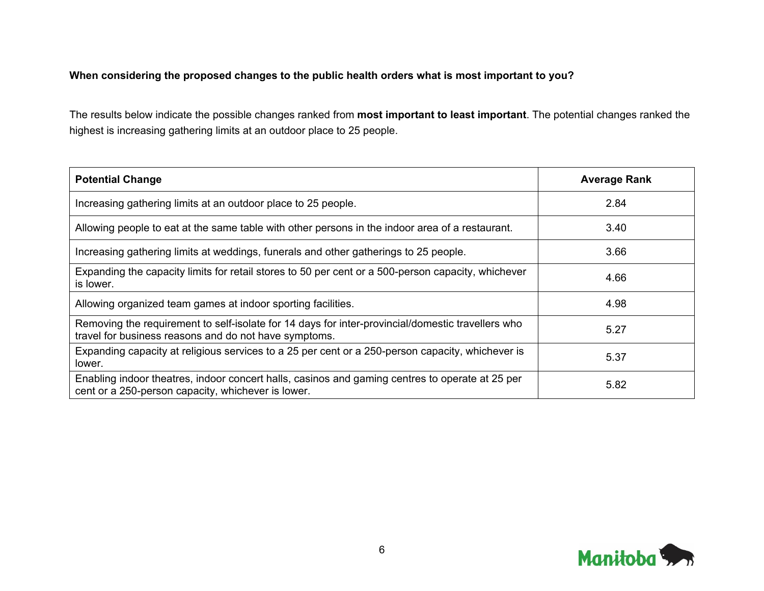#### **When considering the proposed changes to the public health orders what is most important to you?**

The results below indicate the possible changes ranked from **most important to least important**. The potential changes ranked the highest is increasing gathering limits at an outdoor place to 25 people.

| <b>Potential Change</b>                                                                                                                                    | <b>Average Rank</b> |
|------------------------------------------------------------------------------------------------------------------------------------------------------------|---------------------|
| Increasing gathering limits at an outdoor place to 25 people.                                                                                              | 2.84                |
| Allowing people to eat at the same table with other persons in the indoor area of a restaurant.                                                            | 3.40                |
| Increasing gathering limits at weddings, funerals and other gatherings to 25 people.                                                                       | 3.66                |
| Expanding the capacity limits for retail stores to 50 per cent or a 500-person capacity, whichever<br>is lower.                                            | 4.66                |
| Allowing organized team games at indoor sporting facilities.                                                                                               | 4.98                |
| Removing the requirement to self-isolate for 14 days for inter-provincial/domestic travellers who<br>travel for business reasons and do not have symptoms. | 5.27                |
| Expanding capacity at religious services to a 25 per cent or a 250-person capacity, whichever is<br>lower.                                                 | 5.37                |
| Enabling indoor theatres, indoor concert halls, casinos and gaming centres to operate at 25 per<br>cent or a 250-person capacity, whichever is lower.      | 5.82                |